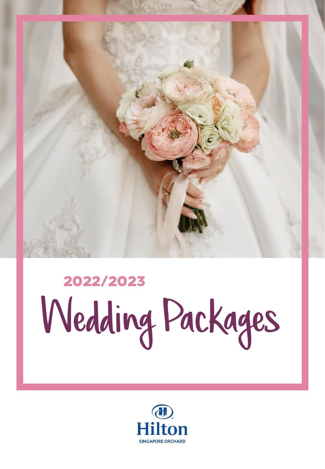

# 2022/2023<br>Wedding Packages

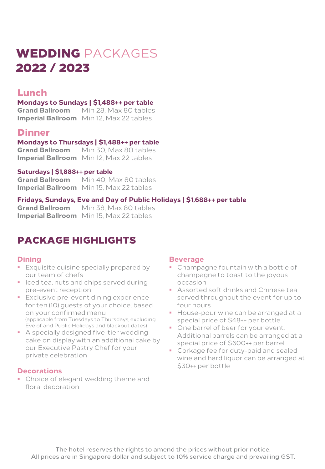# WEDDING PACKAGES 2022 / 2023

# Lunch

#### **Mondays to Sundays | \$1,488++ per table**

**Grand Ballroom** Min 28, Max 80 tables **Imperial Ballroom** Min 12, Max 22 tables

## **Dinner**

#### **| Mondays to Thursdays \$1,488++ per table**

**Grand Ballroom** Min 30, Max 80 tables **Imperial Ballroom** Min 12, Max 22 tables

#### **| Saturdays \$1,888++ per table**

**Grand Ballroom** Min 40, Max 80 tables **Imperial Ballroom** Min 15, Max 22 tables

#### **Fridays, Sundays, Eve and Day of Public Holidays | \$1,688++ per table**

**Grand Ballroom** Min 38, Max 80 tables **Imperial Ballroom** Min 15, Max 22 tables

# PACKAGE HIGHLIGHTS

#### **Dining**

- **Exquisite cuisine specially prepared by** our team of chefs
- Iced tea, nuts and chips served during pre-event reception
- Exclusive pre-event dining experience for ten (10) guests of your choice, based on your confirmed menu (applicable from Tuesdays to Thursdays, excluding Eve of and Public Holidays and blackout dates)
- A specially designed five-tier wedding cake on display with an additional cake by our Executive Pastry Chef for your private celebration

#### **Decorations**

• Choice of elegant wedding theme and floral decoration

#### **Beverage**

- Champagne fountain with a bottle of champagne to toast to the joyous occasion
- Assorted soft drinks and Chinese tea served throughout the event for up to four hours
- House-pour wine can be arranged at a special price of \$48++ per bottle
- One barrel of beer for your event. Additional barrels can be arranged at a special price of \$600++ per barrel
- Corkage fee for duty-paid and sealed wine and hard liquor can be arranged at \$30++ per bottle

The hotel reserves the rights to amend the prices without prior notice. All prices are in Singapore dollar and subject to 10% service charge and prevailing GST.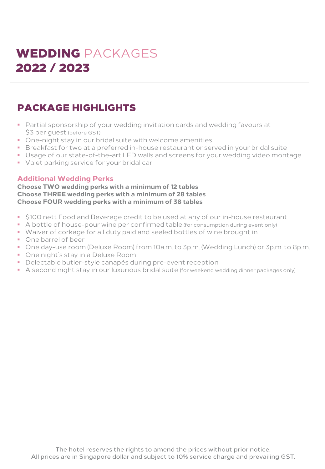# WEDDING PACKAGES 2022 / 2023

# PACKAGE HIGHLIGHTS

- Partial sponsorship of your wedding invitation cards and wedding favours at \$3 per guest (before GST)
- One-night stay in our bridal suite with welcome amenities
- Breakfast for two at a preferred in-house restaurant or served in your bridal suite
- Usage of our state-of-the-art LED walls and screens for your wedding video montage
- Valet parking service for your bridal car

#### **Additional Wedding Perks**

**Choose TWO wedding perks with a minimum of 12 tables Choose THREE wedding perks with a minimum of 28 tables Choose FOUR wedding perks with a minimum of 38 tables**

- \$100 nett Food and Beverage credit to be used at any of our in-house restaurant
- A bottle of house-pour wine per confirmed table (for consumption during event only)
- Waiver of corkage for all duty paid and sealed bottles of wine brought in
- One barrel of beer
- One day-use room (Deluxe Room) from 10a.m. to 3p.m. (Wedding Lunch) or 3p.m. to 8p.m.
- One night's stay in a Deluxe Room
- Delectable butler-style canapés during pre-event reception
- A second night stay in our luxurious bridal suite (for weekend wedding dinner packages only)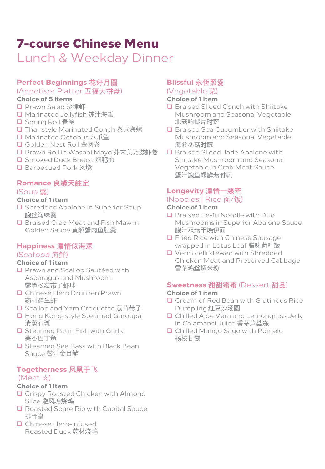# 7-course Chinese Menu

Lunch & Weekday Dinner

## **Perfect Beginnings 花好月圓**

## (Appetiser Platter 五福大拼盘)

#### **Choice of 5 items**

- □ Prawn Salad 沙律虾
- Marinated Jellyfish 辣汁海蜇
- **□** Spring Roll 春卷
- □ Thai-style Marinated Conch 泰式海螺
- **□** Marinated Octopus 八爪鱼
- Golden Nest Roll 金网卷
- Prawn Roll in Wasabi Mayo 芥末美乃滋虾卷
- **□** Smoked Duck Breast 烟鸭胸
- Barbecued Pork 叉烧

#### **Romance 良緣天註定**

#### (Soup 羹)

#### **Choice of 1 item**

- **Q** Shredded Abalone in Superior Soup 鲍丝海味羹
- □ Braised Crab Meat and Fish Maw in Golden Sauce 黄焖蟹肉鱼肚羹

#### **Happiness 濃情似海深** (Seafood 海鲜)

#### **Choice of 1 item**

- **Q** Prawn and Scallop Sautéed with Asparagus and Mushroom 露笋松菇带子虾球
- **Q** Chinese Herb Drunken Prawn 药材醉生虾
- Scallop and Yam Croquette 荔茸带子
- □ Hong Kong-style Steamed Garoupa 清蒸石斑
- **Q** Steamed Patin Fish with Garlic 蒜香巴丁鱼
- □ Steamed Sea Bass with Black Bean Sauce 鼓汁金目鲈

#### **Togetherness 凤凰于飞**

#### (Meat 肉)

#### **Choice of 1 item**

- **Q** Crispy Roasted Chicken with Almond Slice 避风塘烧鸡
- **Q** Roasted Spare Rib with Capital Sauce 排骨皇
- **Q** Chinese Herb-infused Roasted Duck 药材烧鸭

## **Blissful 永恆照愛**

#### (Vegetable 菜)

#### **Choice of 1 item**

- □ Braised Sliced Conch with Shiitake Mushroom and Seasonal Vegetable 北菇响螺片时蔬
- **Q** Braised Sea Cucumber with Shiitake Mushroom and Seasonal Vegetable 海參冬菇时蔬
- **Q** Braised Sliced Jade Abalone with Shiitake Mushroom and Seasonal Vegetable in Crab Meat Sauce 蟹汁鲍鱼螺鲜菇时蔬

# **Longevity 濃情一線牽**

# (Noodles | Rice 面/饭)

#### **Choice of 1 item**

- **Q** Braised Ee-fu Noodle with Duo Mushrooms in Superior Abalone Sauce 鲍汁双菇干烧伊面
- **Q** Fried Rice with Chinese Sausage wrapped in Lotus Leaf 腊味荷叶饭
- **Q** Vermicelli stewed with Shredded Chicken Meat and Preserved Cabbage 雪菜鸡丝焖米粉

#### **Sweetness 甜甜蜜蜜** (Dessert 甜品)

- **Q** Cream of Red Bean with Glutinous Rice Dumpling 红豆沙汤圆
- **Q** Chilled Aloe Vera and Lemongrass Jelly in Calamansi Juice 香茅芦荟冻
- **Q** Chilled Mango Sago with Pomelo 杨枝甘露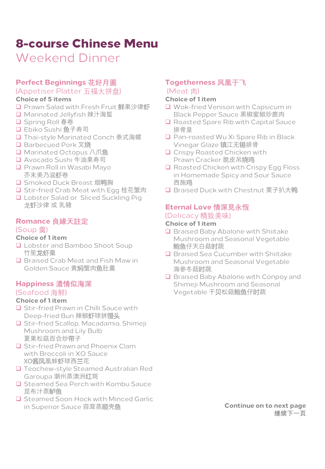# 8-course Chinese Menu

Weekend Dinner

## **Perfect Beginnings 花好月圓**

#### (Appetiser Platter 五福大拼盘)

#### **Choice of 5 items**

- □ Prawn Salad with Fresh Fruit 鲜果沙律虾
- □ Marinated Jellyfish 辣汁海蜇
- **□** Spring Roll 春卷
- □ Ebiko Sushi 鱼子寿司
- □ Thai-style Marinated Conch 泰式海螺
- □ Barbecued Pork 叉烧
- **□** Marinated Octopus 八爪鱼
- □ Avocado Sushi 牛油果寿司
- **Q** Prawn Roll in Wasabi Mayo 芥末美乃滋虾卷
- **□** Smoked Duck Breast 烟鸭胸
- □ Stir-fried Crab Meat with Egg 桂花蟹肉
- **Q** Lobster Salad or Sliced Suckling Pig 龙虾沙律 或 乳豬

#### **Romance 良緣天註定**

#### (Soup 羹)

#### **Choice of 1 item**

- **Q** Lobster and Bamboo Shoot Soup 竹笙龙虾羹
- □ Braised Crab Meat and Fish Maw in Golden Sauce 黄焖蟹肉鱼肚羹

#### **Happiness 濃情似海深** (Seafood 海鲜)

#### **Choice of 1 item**

- **Q** Stir-fried Prawn in Chilli Sauce with Deep-fried Bun 辣椒虾球拼馒头
- Stir-fried Scallop, Macadamia, Shimeji Mushroom and Lily Bulb 夏果松菇百合炒带子
- **Q** Stir-fried Prawn and Phoenix Clam with Broccoli in XO Sauce XO酱凤凰蚌虾球西兰花
- **Q** Teochew-style Steamed Australian Red Garoupa 潮州蒸澳洲红斑
- □ Steamed Sea Perch with Kombu Sauce 昆布汁蒸鲈鱼
- **Q** Steamed Soon Hock with Minced Garlic in Superior Sauce 蒜茸蒸顺壳鱼

# **Togetherness 凤凰于飞**

## (Meat 肉)

#### **Choice of 1 item**

- **Q** Wok-fried Venison with Capsicum in Black Pepper Sauce 黑椒蜜椒炒鹿肉
- □ Roasted Spare Rib with Capital Sauce 排骨皇
- Pan-roasted Wu Xi Spare Rib in Black Vinegar Glaze 镇江无锡排骨
- **Q** Crispy Roasted Chicken with Prawn Cracker 脆皮吊烧鸡
- **Q** Roasted Chicken with Crispy Egg Floss in Homemade Spicy and Sour Sauce 西施鸡
- □ Braised Duck with Chestnut 栗子扒大鸭

## **Eternal Love 情深見永恆** (Delicacy 精致美味)

#### **Choice of 1 item**

- $\Box$  Braised Baby Abalone with Shiitake Mushroom and Seasonal Vegetable 鲍鱼仔天白菇时蔬
- **Q** Braised Sea Cucumber with Shiitake Mushroom and Seasonal Vegetable 海參冬菇时蔬
- □ Braised Baby Abalone with Conpoy and Shimeji Mushroom and Seasonal Vegetable 干贝松菇鲍鱼仔时蔬

**Continue on to next page 继续下一页**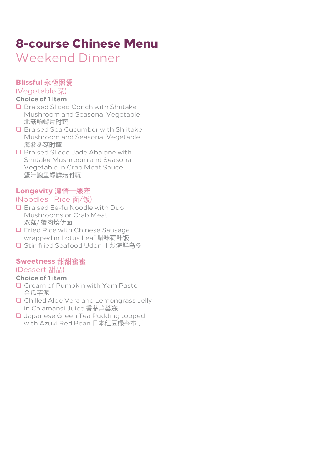# 8-course Chinese Menu

Weekend Dinner

#### **Blissful 永恆照愛**

(Vegetable 菜)

#### **Choice of 1 item**

- **Q** Braised Sliced Conch with Shiitake Mushroom and Seasonal Vegetable 北菇响螺片时蔬
- **Q** Braised Sea Cucumber with Shiitake Mushroom and Seasonal Vegetable 海參冬菇时蔬
- **Q** Braised Sliced Jade Abalone with Shiitake Mushroom and Seasonal Vegetable in Crab Meat Sauce 蟹汁鲍鱼螺鲜菇时蔬

#### **Longevity 濃情一線牽**

#### (Noodles | Rice 面/饭)

- **Q** Braised Ee-fu Noodle with Duo Mushrooms or Crab Meat 双菇/ 蟹肉烩伊面
- **Q** Fried Rice with Chinese Sausage wrapped in Lotus Leaf 腊味荷叶饭
- □ Stir-fried Seafood Udon 干炒海鲜乌冬

#### **Sweetness 甜甜蜜蜜**

#### (Dessert 甜品)

- **Q** Cream of Pumpkin with Yam Paste 金瓜芋泥
- **Q** Chilled Aloe Vera and Lemongrass Jelly in Calamansi Juice 香茅芦荟冻
- **Q** Japanese Green Tea Pudding topped with Azuki Red Bean 日本红豆绿茶布丁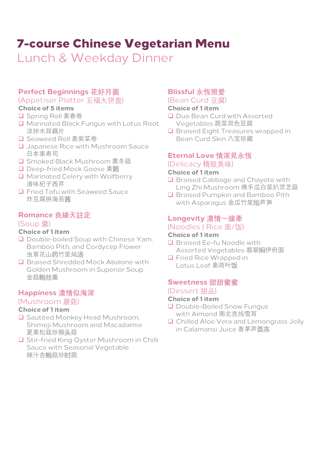# 7-course Chinese Vegetarian Menu

Lunch & Weekday Dinner

#### **Perfect Beginnings 花好月圓**

#### (Appetiser Platter 五福大拼盘)

#### **Choice of 5 items**

- **□** Spring Roll 素春卷
- **Q** Marinated Black Fungus with Lotus Root 凉拌木耳藕片
- □ Seaweed Roll 素紫菜卷
- **Q** Japanese Rice with Mushroom Sauce 日本素寿司
- **□** Smoked Black Mushroom 熏冬菇
- Deep-fried Mock Goose 素鹅
- Marinated Celery with Wolfberry 清味杞子西芹
- **Q** Fried Tofu with Seaweed Sauce 炸豆腐拼海苔酱

#### **Romance 良緣天註定**

#### (Soup 羹)

#### **Choice of 1 item**

- **Q** Double-boiled Soup with Chinese Yam, Bamboo Pith, and Cordycep Flower 虫草花山药竹笙炖汤
- **Q** Braised Shredded Mock Abalone with Golden Mushroom in Superior Soup 金菇鲍丝羹

#### **Happiness 濃情似海深** (Mushroom 蘑菇)

#### **Choice of 1 item**

- **Q** Sautéed Monkey Head Mushroom, Shimeji Mushroom and Macadamia 夏果松菇炒猴头菇
- **Q Stir-fried King Oyster Mushroom in Chilli** Sauce with Seasonal Vegetable 辣汁杏鲍菇炒时蔬

# **Blissful 永恆照愛**

#### (Bean Curd 豆腐)

#### **Choice of 1 item**

- **Q** Duo Bean Curd with Assorted Vegetables 蔬菜双色豆腐
- **Q** Braised Eight Treasures wrapped in Bean Curd Skin 八宝珍藏

#### **Eternal Love 情深見永恆**

#### (Delicacy 精致美味)

#### **Choice of 1 item**

- □ Braised Cabbage and Chayote with Ling Zhi Mushroom 佛手瓜白菜扒灵芝菇
- **Q** Braised Pumpkin and Bamboo Pith with Asparagus 金瓜竹笙烩芦笋

#### **Longevity 濃情一線牽**

#### (Noodles | Rice 面/饭)

#### **Choice of 1 item**

- **Q** Braised Ee-fu Noodle with Assorted Vegetables 翡翠焖伊府面
- **Q** Fried Rice Wrapped in Lotus Leaf 素荷叶饭

#### **Sweetness 甜甜蜜蜜** (Dessert 甜品)

- **Q** Double-Boiled Snow Fungus with Almond 南北杏炖雪耳
- **Q** Chilled Aloe Vera and Lemongrass Jelly in Calamansi Juice 香茅芦荟冻